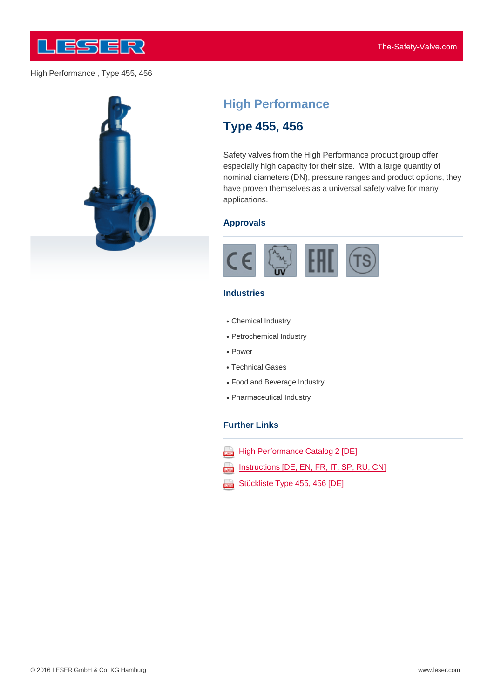



# **High Performance**

## **Type 455, 456**

Safety valves from the High Performance product group offer especially high capacity for their size. With a large quantity of nominal diameters (DN), pressure ranges and product options, they have proven themselves as a universal safety valve for many applications.

#### **Approvals**



### **Industries**

- Chemical Industry
- Petrochemical Industry
- Power
- Technical Gases
- Food and Beverage Industry
- Pharmaceutical Industry

### **Further Links**

- **High Performance Catalog 2 [DE]** ana)
- Instructions [DE, EN, FR, IT, SP, RU, CN] ψ
- Stückliste Type 455, 456 [DE] 202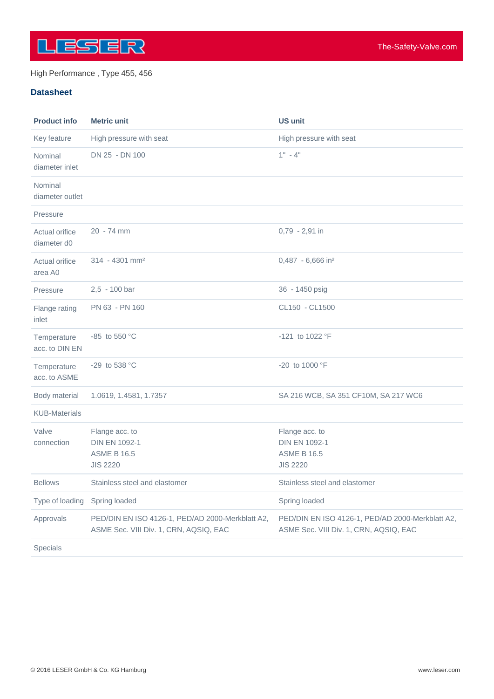

### **Datasheet**

| <b>Product info</b>           | <b>Metric unit</b>                                                                         | <b>US unit</b>                                                                             |
|-------------------------------|--------------------------------------------------------------------------------------------|--------------------------------------------------------------------------------------------|
| Key feature                   | High pressure with seat                                                                    | High pressure with seat                                                                    |
| Nominal<br>diameter inlet     | DN 25 - DN 100                                                                             | $1" - 4"$                                                                                  |
| Nominal<br>diameter outlet    |                                                                                            |                                                                                            |
| Pressure                      |                                                                                            |                                                                                            |
| Actual orifice<br>diameter d0 | 20 - 74 mm                                                                                 | 0,79 - 2,91 in                                                                             |
| Actual orifice<br>area A0     | $314 - 4301$ mm <sup>2</sup>                                                               | 0,487 - 6,666 in <sup>2</sup>                                                              |
| Pressure                      | 2,5 - 100 bar                                                                              | 36 - 1450 psig                                                                             |
| Flange rating<br>inlet        | PN 63 - PN 160                                                                             | CL150 - CL1500                                                                             |
| Temperature<br>acc. to DIN EN | -85 to 550 °C                                                                              | -121 to 1022 °F                                                                            |
| Temperature<br>acc. to ASME   | -29 to 538 °C                                                                              | -20 to 1000 °F                                                                             |
| Body material                 | 1.0619, 1.4581, 1.7357                                                                     | SA 216 WCB, SA 351 CF10M, SA 217 WC6                                                       |
| <b>KUB-Materials</b>          |                                                                                            |                                                                                            |
| Valve<br>connection           | Flange acc. to<br><b>DIN EN 1092-1</b><br><b>ASME B 16.5</b><br><b>JIS 2220</b>            | Flange acc. to<br><b>DIN EN 1092-1</b><br><b>ASME B 16.5</b><br><b>JIS 2220</b>            |
| <b>Bellows</b>                | Stainless steel and elastomer                                                              | Stainless steel and elastomer                                                              |
| Type of loading               | Spring loaded                                                                              | Spring loaded                                                                              |
| Approvals                     | PED/DIN EN ISO 4126-1, PED/AD 2000-Merkblatt A2,<br>ASME Sec. VIII Div. 1, CRN, AQSIQ, EAC | PED/DIN EN ISO 4126-1, PED/AD 2000-Merkblatt A2,<br>ASME Sec. VIII Div. 1, CRN, AQSIQ, EAC |
| Specials                      |                                                                                            |                                                                                            |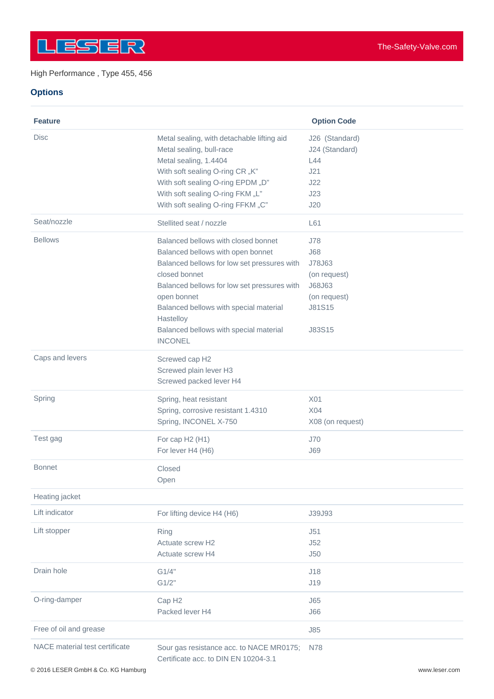## **Options**

| <b>Feature</b>                 |                                                                                                                                                                                                                                                                                                                           | <b>Option Code</b>                                                                        |
|--------------------------------|---------------------------------------------------------------------------------------------------------------------------------------------------------------------------------------------------------------------------------------------------------------------------------------------------------------------------|-------------------------------------------------------------------------------------------|
| <b>Disc</b>                    | Metal sealing, with detachable lifting aid<br>Metal sealing, bull-race<br>Metal sealing, 1.4404<br>With soft sealing O-ring CR "K"<br>With soft sealing O-ring EPDM "D"<br>With soft sealing O-ring FKM "L"<br>With soft sealing O-ring FFKM "C"                                                                          | J26 (Standard)<br>J24 (Standard)<br>L44<br>J21<br>J22<br>J23<br>J20                       |
| Seat/nozzle                    | Stellited seat / nozzle                                                                                                                                                                                                                                                                                                   | L61                                                                                       |
| <b>Bellows</b>                 | Balanced bellows with closed bonnet<br>Balanced bellows with open bonnet<br>Balanced bellows for low set pressures with<br>closed bonnet<br>Balanced bellows for low set pressures with<br>open bonnet<br>Balanced bellows with special material<br>Hastelloy<br>Balanced bellows with special material<br><b>INCONEL</b> | J78<br><b>J68</b><br>J78J63<br>(on request)<br>J68J63<br>(on request)<br>J81S15<br>J83S15 |
| Caps and levers                | Screwed cap H2<br>Screwed plain lever H3<br>Screwed packed lever H4                                                                                                                                                                                                                                                       |                                                                                           |
| Spring                         | Spring, heat resistant<br>Spring, corrosive resistant 1.4310<br>Spring, INCONEL X-750                                                                                                                                                                                                                                     | X01<br>X04<br>X08 (on request)                                                            |
| Test gag                       | For cap H2 (H1)<br>For lever H4 (H6)                                                                                                                                                                                                                                                                                      | <b>J70</b><br><b>J69</b>                                                                  |
| <b>Bonnet</b>                  | Closed<br>Open                                                                                                                                                                                                                                                                                                            |                                                                                           |
| Heating jacket                 |                                                                                                                                                                                                                                                                                                                           |                                                                                           |
| Lift indicator                 | For lifting device H4 (H6)                                                                                                                                                                                                                                                                                                | J39J93                                                                                    |
| Lift stopper                   | Ring<br>Actuate screw H2<br>Actuate screw H4                                                                                                                                                                                                                                                                              | J51<br>J52<br>J50                                                                         |
| Drain hole                     | G1/4"<br>G1/2"                                                                                                                                                                                                                                                                                                            | J18<br>J19                                                                                |
| O-ring-damper                  | Cap H <sub>2</sub><br>Packed lever H4                                                                                                                                                                                                                                                                                     | <b>J65</b><br><b>J66</b>                                                                  |
| Free of oil and grease         |                                                                                                                                                                                                                                                                                                                           | J85                                                                                       |
| NACE material test certificate | Sour gas resistance acc. to NACE MR0175;<br>Certificate acc. to DIN EN 10204-3.1                                                                                                                                                                                                                                          | N78                                                                                       |